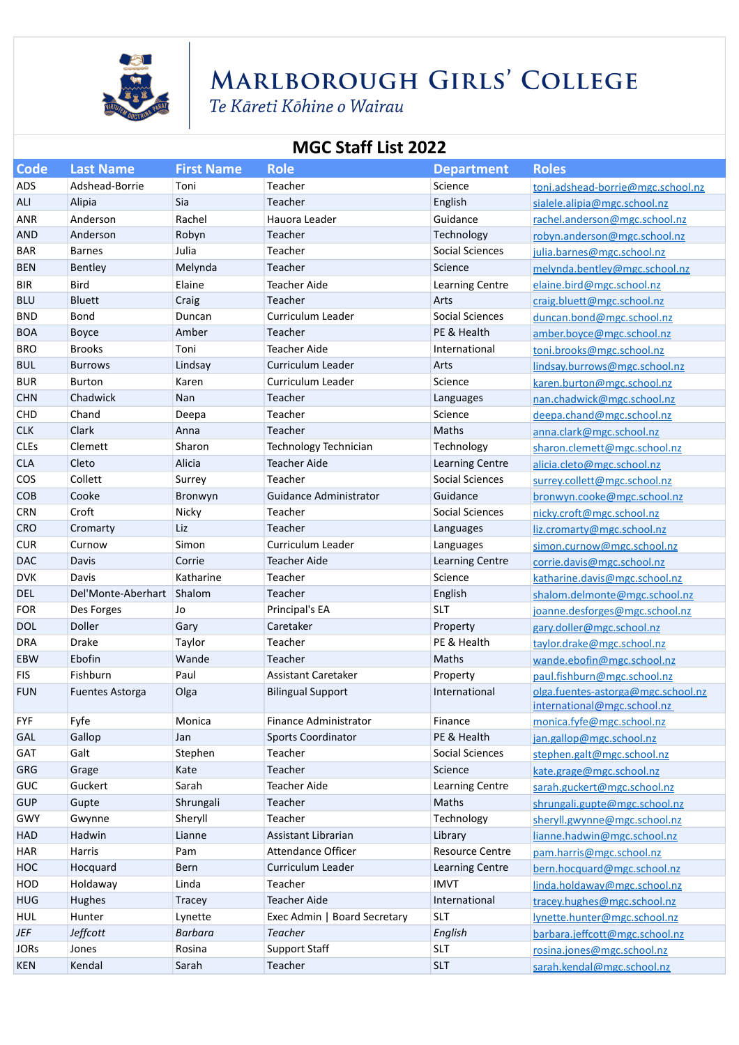

## MARLBOROUGH GIRLS' COLLEGE

Te Kāreti Kōhine o Wairau

### **MGC Staff List 2022**

| <b>Code</b> | <b>Last Name</b>       | <b>First Name</b> | <b>Role</b>                   | <b>Department</b>      | <b>Roles</b>                                                      |
|-------------|------------------------|-------------------|-------------------------------|------------------------|-------------------------------------------------------------------|
| <b>ADS</b>  | Adshead-Borrie         | Toni              | Teacher                       | Science                | toni.adshead-borrie@mgc.school.nz                                 |
| <b>ALI</b>  | Alipia                 | Sia               | Teacher                       | English                | sialele.alipia@mgc.school.nz                                      |
| <b>ANR</b>  | Anderson               | Rachel            | Hauora Leader                 | Guidance               | rachel.anderson@mgc.school.nz                                     |
| <b>AND</b>  | Anderson               | Robyn             | Teacher                       | Technology             | robyn.anderson@mgc.school.nz                                      |
| <b>BAR</b>  | <b>Barnes</b>          | Julia             | Teacher                       | Social Sciences        | julia.barnes@mgc.school.nz                                        |
| <b>BEN</b>  | Bentley                | Melynda           | Teacher                       | Science                | melynda.bentley@mgc.school.nz                                     |
| <b>BIR</b>  | <b>Bird</b>            | Elaine            | <b>Teacher Aide</b>           | Learning Centre        | elaine.bird@mgc.school.nz                                         |
| <b>BLU</b>  | <b>Bluett</b>          | Craig             | Teacher                       | Arts                   | craig.bluett@mgc.school.nz                                        |
| <b>BND</b>  | Bond                   | Duncan            | Curriculum Leader             | Social Sciences        | duncan.bond@mgc.school.nz                                         |
| <b>BOA</b>  | Boyce                  | Amber             | Teacher                       | PE & Health            | amber.boyce@mgc.school.nz                                         |
| <b>BRO</b>  | <b>Brooks</b>          | Toni              | Teacher Aide                  | International          | toni.brooks@mgc.school.nz                                         |
| <b>BUL</b>  | <b>Burrows</b>         | Lindsay           | Curriculum Leader             | Arts                   | lindsay.burrows@mgc.school.nz                                     |
| <b>BUR</b>  | <b>Burton</b>          | Karen             | Curriculum Leader             | Science                | karen.burton@mgc.school.nz                                        |
| <b>CHN</b>  | Chadwick               | Nan               | Teacher                       | Languages              | nan.chadwick@mgc.school.nz                                        |
| <b>CHD</b>  | Chand                  | Deepa             | Teacher                       | Science                | deepa.chand@mgc.school.nz                                         |
| <b>CLK</b>  | Clark                  | Anna              | Teacher                       | Maths                  | anna.clark@mgc.school.nz                                          |
| <b>CLEs</b> | Clemett                | Sharon            | Technology Technician         | Technology             | sharon.clemett@mgc.school.nz                                      |
| <b>CLA</b>  | Cleto                  | Alicia            | <b>Teacher Aide</b>           | <b>Learning Centre</b> | alicia.cleto@mgc.school.nz                                        |
| COS         | Collett                | Surrey            | Teacher                       | <b>Social Sciences</b> | surrey.collett@mgc.school.nz                                      |
| COB         | Cooke                  | Bronwyn           | <b>Guidance Administrator</b> | Guidance               | bronwyn.cooke@mgc.school.nz                                       |
| <b>CRN</b>  | Croft                  | Nicky             | Teacher                       | <b>Social Sciences</b> | nicky.croft@mgc.school.nz                                         |
| <b>CRO</b>  | Cromarty               | Liz               | Teacher                       | Languages              | liz.cromarty@mgc.school.nz                                        |
| <b>CUR</b>  | Curnow                 | Simon             | Curriculum Leader             | Languages              | simon.curnow@mgc.school.nz                                        |
| <b>DAC</b>  | Davis                  | Corrie            | <b>Teacher Aide</b>           | Learning Centre        | corrie.davis@mgc.school.nz                                        |
| <b>DVK</b>  | Davis                  | Katharine         | Teacher                       | Science                | katharine.davis@mgc.school.nz                                     |
| DEL         | Del'Monte-Aberhart     | Shalom            | Teacher                       | English                | shalom.delmonte@mgc.school.nz                                     |
| <b>FOR</b>  | Des Forges             | Jo                | Principal's EA                | <b>SLT</b>             | joanne.desforges@mgc.school.nz                                    |
| <b>DOL</b>  | Doller                 | Gary              | Caretaker                     | Property               | gary.doller@mgc.school.nz                                         |
| DRA         | Drake                  | Taylor            | Teacher                       | PE & Health            | taylor.drake@mgc.school.nz                                        |
| EBW         | Ebofin                 | Wande             | Teacher                       | Maths                  | wande.ebofin@mgc.school.nz                                        |
| <b>FIS</b>  | Fishburn               | Paul              | Assistant Caretaker           | Property               | paul.fishburn@mgc.school.nz                                       |
| <b>FUN</b>  | <b>Fuentes Astorga</b> | Olga              | <b>Bilingual Support</b>      | International          | olga.fuentes-astorga@mgc.school.nz<br>international@mgc.school.nz |
| <b>FYF</b>  | Fyfe                   | Monica            | Finance Administrator         | Finance                | monica.fyfe@mgc.school.nz                                         |
| GAL         | Gallop                 | Jan               | <b>Sports Coordinator</b>     | PE & Health            | jan.gallop@mgc.school.nz                                          |
| GAT         | Galt                   | Stephen           | Teacher                       | Social Sciences        | stephen.galt@mgc.school.nz                                        |
| <b>GRG</b>  | Grage                  | Kate              | Teacher                       | Science                | kate.grage@mgc.school.nz                                          |
| GUC         | Guckert                | Sarah             | Teacher Aide                  | Learning Centre        | sarah.guckert@mgc.school.nz                                       |
| <b>GUP</b>  | Gupte                  | Shrungali         | Teacher                       | Maths                  | shrungali.gupte@mgc.school.nz                                     |
| GWY         | Gwynne                 | Sheryll           | Teacher                       | Technology             | sheryll.gwynne@mgc.school.nz                                      |
| HAD         | Hadwin                 | Lianne            | Assistant Librarian           | Library                | lianne.hadwin@mgc.school.nz                                       |
| HAR         | Harris                 | Pam               | Attendance Officer            | <b>Resource Centre</b> | pam.harris@mgc.school.nz                                          |
| HOC         | Hocquard               | Bern              | Curriculum Leader             | Learning Centre        | bern.hocquard@mgc.school.nz                                       |
| HOD         | Holdaway               | Linda             | Teacher                       | <b>IMVT</b>            | linda.holdaway@mgc.school.nz                                      |
| <b>HUG</b>  | Hughes                 | <b>Tracey</b>     | <b>Teacher Aide</b>           | International          | tracey.hughes@mgc.school.nz                                       |
| HUL         | Hunter                 | Lynette           | Exec Admin   Board Secretary  | <b>SLT</b>             | lynette.hunter@mgc.school.nz                                      |
| <b>JEF</b>  | Jeffcott               | <b>Barbara</b>    | <b>Teacher</b>                | English                | barbara.jeffcott@mgc.school.nz                                    |
| <b>JORs</b> | Jones                  | Rosina            | <b>Support Staff</b>          | <b>SLT</b>             | rosina.jones@mgc.school.nz                                        |
| KEN         | Kendal                 | Sarah             | Teacher                       | <b>SLT</b>             | sarah.kendal@mgc.school.nz                                        |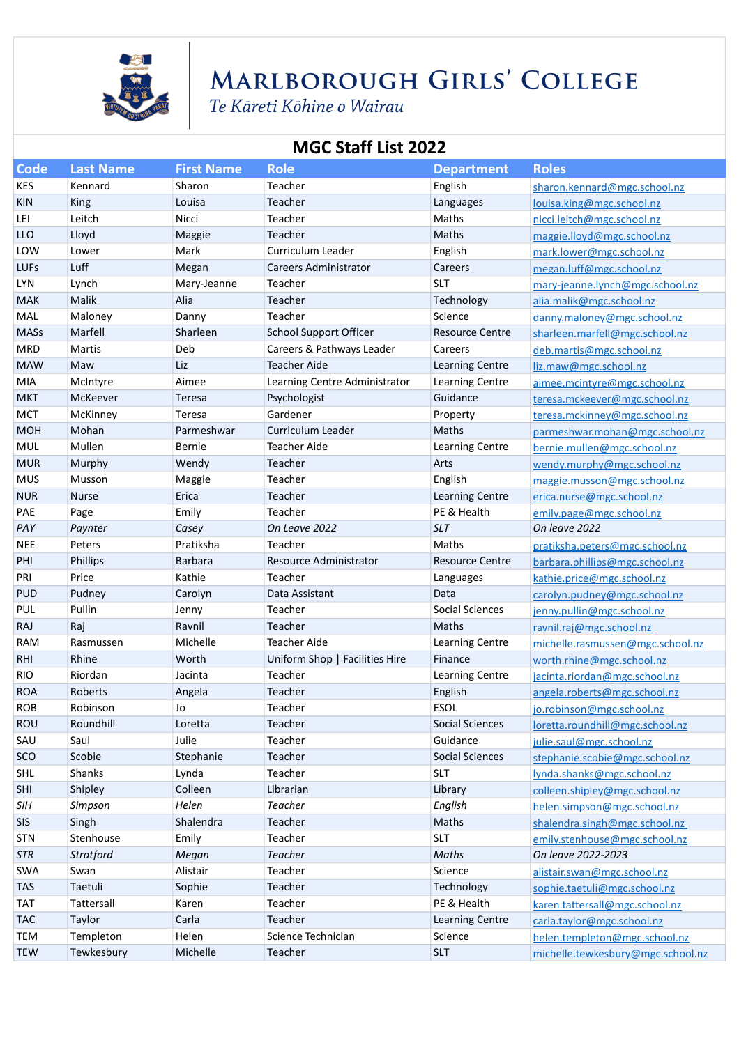

## MARLBOROUGH GIRLS' COLLEGE

Te Kāreti Kōhine o Wairau

### **MGC Staff List 2022**

| <b>Code</b> | <b>Last Name</b> | <b>First Name</b> | <b>Role</b>                    | <b>Department</b>      | <b>Roles</b>                                        |
|-------------|------------------|-------------------|--------------------------------|------------------------|-----------------------------------------------------|
| <b>KES</b>  | Kennard          | Sharon            | Teacher                        | English                | sharon.kennard@mgc.school.nz                        |
| <b>KIN</b>  | King             | Louisa            | Teacher                        | Languages              | louisa.king@mgc.school.nz                           |
| LEI         | Leitch           | Nicci             | Teacher                        | Maths                  | nicci.leitch@mgc.school.nz                          |
| LLO         | Lloyd            | Maggie            | Teacher                        | Maths                  | maggie.lloyd@mgc.school.nz                          |
| LOW         | Lower            | Mark              | Curriculum Leader              | English                | mark.lower@mgc.school.nz                            |
| <b>LUFs</b> | Luff             | Megan             | <b>Careers Administrator</b>   | Careers                | megan.luff@mgc.school.nz                            |
| <b>LYN</b>  | Lynch            | Mary-Jeanne       | Teacher                        | <b>SLT</b>             | mary-jeanne.lynch@mgc.school.nz                     |
| MAK         | Malik            | Alia              | Teacher                        | Technology             | alia.malik@mgc.school.nz                            |
| MAL         | Maloney          | Danny             | Teacher                        | Science                | danny.maloney@mgc.school.nz                         |
| <b>MASs</b> | Marfell          | Sharleen          | <b>School Support Officer</b>  | <b>Resource Centre</b> | sharleen.marfell@mgc.school.nz                      |
| <b>MRD</b>  | Martis           | Deb               | Careers & Pathways Leader      | Careers                | deb.martis@mgc.school.nz                            |
| <b>MAW</b>  | Maw              | Liz               | <b>Teacher Aide</b>            | Learning Centre        | liz.maw@mgc.school.nz                               |
| MIA         | McIntyre         | Aimee             | Learning Centre Administrator  | Learning Centre        | aimee.mcintyre@mgc.school.nz                        |
| <b>MKT</b>  | McKeever         | Teresa            | Psychologist                   | Guidance               | teresa.mckeever@mgc.school.nz                       |
| <b>MCT</b>  | McKinney         | Teresa            | Gardener                       | Property               | teresa.mckinney@mgc.school.nz                       |
| <b>MOH</b>  | Mohan            | Parmeshwar        | Curriculum Leader              | <b>Maths</b>           | parmeshwar.mohan@mgc.school.nz                      |
| MUL         | Mullen           | Bernie            | <b>Teacher Aide</b>            | Learning Centre        | bernie.mullen@mgc.school.nz                         |
| <b>MUR</b>  | Murphy           | Wendy             | Teacher                        | Arts                   | wendy.murphy@mgc.school.nz                          |
| <b>MUS</b>  | Musson           | Maggie            | Teacher                        | English                | maggie.musson@mgc.school.nz                         |
| <b>NUR</b>  | <b>Nurse</b>     | Erica             | Teacher                        | Learning Centre        | erica.nurse@mgc.school.nz                           |
| PAE         | Page             | Emily             | Teacher                        | PE & Health            | emily.page@mgc.school.nz                            |
| PAY         | Paynter          | Casey             | On Leave 2022                  | <b>SLT</b>             | On leave 2022                                       |
| <b>NEE</b>  | Peters           | Pratiksha         | Teacher                        | Maths                  | pratiksha.peters@mgc.school.nz                      |
| PHI         | Phillips         | Barbara           | Resource Administrator         | <b>Resource Centre</b> | barbara.phillips@mgc.school.nz                      |
| PRI         | Price            | Kathie            | Teacher                        | Languages              | kathie.price@mgc.school.nz                          |
| <b>PUD</b>  | Pudney           | Carolyn           | Data Assistant                 | Data                   | carolyn.pudney@mgc.school.nz                        |
| <b>PUL</b>  | Pullin           | Jenny             | Teacher                        | <b>Social Sciences</b> | jenny.pullin@mgc.school.nz                          |
| <b>RAJ</b>  | Raj              | Ravnil            | Teacher                        | Maths                  | ravnil.raj@mgc.school.nz                            |
| <b>RAM</b>  | Rasmussen        | Michelle          | <b>Teacher Aide</b>            | Learning Centre        | michelle.rasmussen@mgc.school.nz                    |
| <b>RHI</b>  | Rhine            | Worth             | Uniform Shop   Facilities Hire | Finance                | worth.rhine@mgc.school.nz                           |
| <b>RIO</b>  | Riordan          | Jacinta           | Teacher                        | Learning Centre        | jacinta.riordan@mgc.school.nz                       |
| <b>ROA</b>  | Roberts          | Angela            | Teacher                        | English                | angela.roberts@mgc.school.nz                        |
| <b>ROB</b>  | Robinson         | Jo                | Teacher                        | <b>ESOL</b>            | jo.robinson@mgc.school.nz                           |
| <b>ROU</b>  | Roundhill        | Loretta           | Teacher                        | Social Sciences        | loretta.roundhill@mgc.school.nz                     |
| SAU         | Saul             | Julie             | Teacher                        | Guidance               | julie.saul@mgc.school.nz                            |
| SCO         | Scobie           | Stephanie         | Teacher                        | <b>Social Sciences</b> | stephanie.scobie@mgc.school.nz                      |
| SHL<br>SHI  | Shanks           | Lynda<br>Colleen  | Teacher                        | <b>SLT</b>             | lynda.shanks@mgc.school.nz                          |
| SIH         | Shipley          | Helen             | Librarian<br>Teacher           | Library                | colleen.shipley@mgc.school.nz                       |
| SIS         | Simpson<br>Singh | Shalendra         | Teacher                        | English<br>Maths       | helen.simpson@mgc.school.nz                         |
| <b>STN</b>  | Stenhouse        | Emily             | Teacher                        | <b>SLT</b>             | shalendra.singh@mgc.school.nz                       |
| STR         | <b>Stratford</b> | Megan             | <b>Teacher</b>                 | Maths                  | emily.stenhouse@mgc.school.nz<br>On leave 2022-2023 |
| SWA         | Swan             | Alistair          | Teacher                        | Science                |                                                     |
| <b>TAS</b>  | Taetuli          | Sophie            | Teacher                        | Technology             | alistair.swan@mgc.school.nz                         |
| <b>TAT</b>  | Tattersall       | Karen             | Teacher                        | PE & Health            | sophie.taetuli@mgc.school.nz                        |
| <b>TAC</b>  | Taylor           | Carla             | Teacher                        | Learning Centre        | karen.tattersall@mgc.school.nz                      |
| <b>TEM</b>  | Templeton        | Helen             | Science Technician             | Science                | carla.taylor@mgc.school.nz                          |
|             |                  | Michelle          |                                | <b>SLT</b>             | helen.templeton@mgc.school.nz                       |
| <b>TEW</b>  | Tewkesbury       |                   | Teacher                        |                        | michelle.tewkesbury@mgc.school.nz                   |